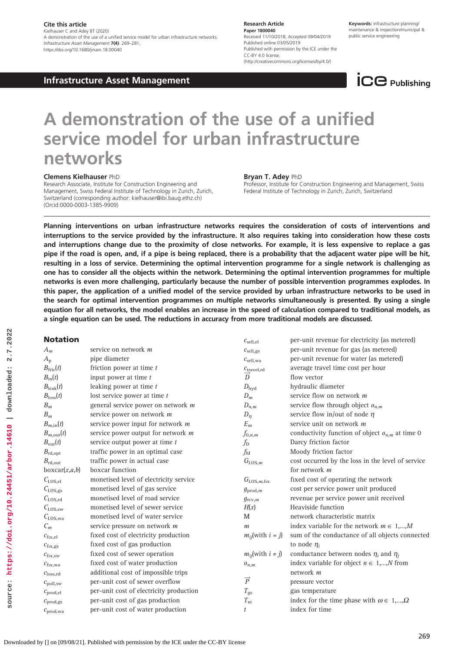## Cite this article

Kielhauser C and Adey BT (2020) A demonstration of the use of a unified service model for urban infrastructure networks. Infrastructure Asset Management 7(4): 269–281, https://doi.org/10.1680/jinam.18.00040

Infrastructure Asset Management

Research Article Paper 1800040 Received 11/10/2018; Accepted 09/04/2019 Published online 03/05/2019 Published with permission by the ICE under the CC-BY 4.0 license. (<http://creativecommons.org/licenses/by/4.0/>)

Keywords: infrastructure planning/ maintenance & inspection/municipal & public service engineering



# A demonstration of the use of a unified service model for urban infrastructure networks

### Clemens Kielhauser PhD

Research Associate, Institute for Construction Engineering and Management, Swiss Federal Institute of Technology in Zurich, Zurich, Switzerland (corresponding author: [kielhauser@ibi.baug.ethz.ch\)](mailto:kielhauser@ibi.baug.ethz.ch) (Orcid:0000-0003-1385-9909)

Bryan T. Adey PhD

Professor, Institute for Construction Engineering and Management, Swiss Federal Institute of Technology in Zurich, Zurich, Switzerland

Planning interventions on urban infrastructure networks requires the consideration of costs of interventions and interruptions to the service provided by the infrastructure. It also requires taking into consideration how these costs and interruptions change due to the proximity of close networks. For example, it is less expensive to replace a gas pipe if the road is open, and, if a pipe is being replaced, there is a probability that the adjacent water pipe will be hit, resulting in a loss of service. Determining the optimal intervention programme for a single network is challenging as one has to consider all the objects within the network. Determining the optimal intervention programmes for multiple networks is even more challenging, particularly because the number of possible intervention programmes explodes. In this paper, the application of a unified model of the service provided by urban infrastructure networks to be used in the search for optimal intervention programmes on multiple networks simultaneously is presented. By using a single equation for all networks, the model enables an increase in the speed of calculation compared to traditional models, as a single equation can be used. The reductions in accuracy from more traditional models are discussed.

| 2022                                 | <b>Notation</b>       |                                         | $c_{\text{sell,el}}$          | per-unit revenue for electricity (as metered)         |
|--------------------------------------|-----------------------|-----------------------------------------|-------------------------------|-------------------------------------------------------|
| $\overline{\phantom{a}}$             | $A_m$                 | service on network m                    | $c_{\text{sell,gs}}$          | per-unit revenue for gas (as metered)                 |
| $\mathbf{a}$                         | $A_{\rm p}$           | pipe diameter                           | $c_{\text{sell,wa}}$          | per-unit revenue for water (as metered)               |
| 00                                   | $B_{\rm fric}(t)$     | friction power at time $t$              | $c_{\text{travel,rd}}$        | average travel time cost per hour                     |
|                                      | $B_{\rm in}(t)$       | input power at time $t$                 | $\overrightarrow{D}$          | flow yector                                           |
|                                      | $B_{\rm leak}(t)$     | leaking power at time $t$               | $D_{\text{hyd}}$              | hydraulic diameter                                    |
| downloaded                           | $B_{\text{loss}}(t)$  | lost service power at time $t$          | $D_m$                         | service flow on network m                             |
|                                      | ${\cal B}_m$          | general service power on network m      | $D_{n,m}$                     | service flow through object $o_{n,m}$                 |
|                                      | $B_m$                 | service power on network $m$            | $D_{\eta}$                    | service flow in/out of node $\eta$                    |
|                                      | $B_{m,\text{in}}(t)$  | service power input for network $m$     | $E_m$                         | service unit on network m                             |
|                                      | $B_{m,\text{out}}(t)$ | service power output for network $m$    | $f_{0,n,m}$                   | conductivity function of object $o_{n,m}$ at time 0   |
|                                      | $B_{\text{out}}(t)$   | service output power at time $t$        | $f_{\rm D}$                   | Darcy friction factor                                 |
|                                      | $B_{\rm rd,opt}$      | traffic power in an optimal case        | $f_{\rm M}$                   | Moody friction factor                                 |
|                                      | $B_{\rm rd,out}$      | traffic power in actual case            | $G_{\text{LOS},m}$            | cost occurred by the loss in the level of service     |
|                                      | boxcar(x,a,b)         | boxcar function                         |                               | for network m                                         |
|                                      | $C_{\text{LOS,el}}$   | monetised level of electricity service  | $G_{\text{LOS},m,\text{fix}}$ | fixed cost of operating the network                   |
|                                      | $C_{\text{LOS,gs}}$   | monetised level of gas service          | $g_{\text{prod},m}$           | cost per service power unit produced                  |
|                                      | $C_{\text{LOS,rd}}$   | monetised level of road service         | $g_{\text{rcv},m}$            | revenue per service power unit received               |
|                                      | $C_{\rm LOS, sw}$     | monetised level of sewer service        | H(x)                          | Heaviside function                                    |
|                                      | $C_{\text{LOS,wa}}$   | monetised level of water service        | M                             | network characteristic matrix                         |
|                                      | $C_m$                 | service pressure on network m           | $\boldsymbol{m}$              | index variable for the network $m \in 1,,M$           |
|                                      | $c_{fix,el}$          | fixed cost of electricity production    | $m_{ij}$ (with $i = j$ )      | sum of the conductance of all objects connected       |
|                                      | $c_{fix,gs}$          | fixed cost of gas production            |                               | to node $\eta_i$                                      |
| https://doi.org/10.24451/arbor.14610 | $c_{fix,sw}$          | fixed cost of sewer operation           | $m_{ij}$ (with $i \neq j$ )   | conductance between nodes $\eta_i$ and $\eta_i$       |
|                                      | $c_{fix,wa}$          | fixed cost of water production          | $0_{n,m}$                     | index variable for object $n \in 1,,N$ from           |
|                                      | $c_{loss,rd}$         | additional cost of impossible trips     |                               | network m                                             |
| $\bullet\,\bullet$                   | $c_{\text{poll,sw}}$  | per-unit cost of sewer overflow         | $\overrightarrow{P}$          | pressure vector                                       |
| source                               | $c_{\text{prod,el}}$  | per-unit cost of electricity production | $T_{\rm gs}$                  | gas temperature                                       |
|                                      | $c_{\text{prod,gs}}$  | per-unit cost of gas production         | $T_{\omega}$                  | index for the time phase with $\omega \in 1,, \Omega$ |
|                                      | $c_{\text{prod},wa}$  | per-unit cost of water production       | t                             | index for time                                        |
|                                      |                       |                                         |                               | 269                                                   |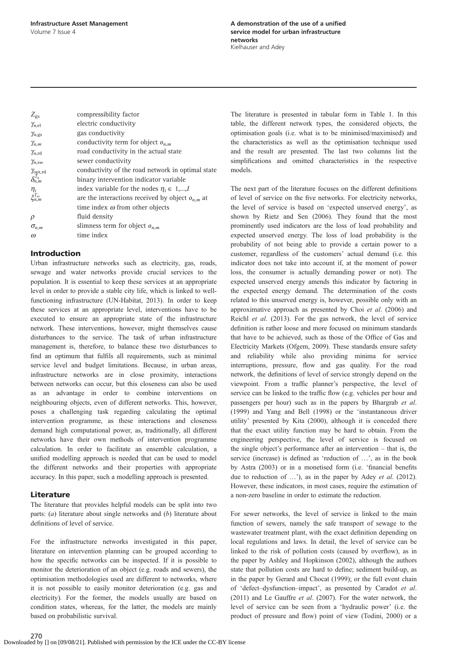| $Z_{\rm gs}$                                  | compressibility factor                               |
|-----------------------------------------------|------------------------------------------------------|
| $\gamma_{n,el}$                               | electric conductivity                                |
| $\gamma_{n,\mathrm{gs}}$                      | gas conductivity                                     |
| $\gamma_{n,m}$                                | conductivity term for object $o_{n,m}$               |
| $\gamma_{n,\rm rd}$                           | road conductivity in the actual state                |
| $\gamma_{n,\rm sw}$                           | sewer conductivity                                   |
|                                               | conductivity of the road network in optimal state    |
| $\gamma_{\text{opt,rd}} \ \delta_{n,m}^{T_k}$ | binary intervention indicator variable               |
| $\eta_i$                                      | index variable for the nodes $\eta_i \in 1,,I$       |
| $\xi_{n,m}^{T_{\omega}}$                      | are the interactions received by object $o_{n,m}$ at |
|                                               | time index $\omega$ from other objects               |
| $\rho$                                        | fluid density                                        |
| $\sigma_{n,m}$                                | slimness term for object $o_{n,m}$                   |
| $\omega$                                      | time index                                           |

# Introduction

Urban infrastructure networks such as electricity, gas, roads, sewage and water networks provide crucial services to the population. It is essential to keep these services at an appropriate level in order to provide a stable city life, which is linked to wellfunctioning infrastructure (UN-Habitat, 2013). In order to keep these services at an appropriate level, interventions have to be executed to ensure an appropriate state of the infrastructure network. These interventions, however, might themselves cause disturbances to the service. The task of urban infrastructure management is, therefore, to balance these two disturbances to find an optimum that fulfils all requirements, such as minimal service level and budget limitations. Because, in urban areas, infrastructure networks are in close proximity, interactions between networks can occur, but this closeness can also be used as an advantage in order to combine interventions on neighbouring objects, even of different networks. This, however, poses a challenging task regarding calculating the optimal intervention programme, as these interactions and closeness demand high computational power, as, traditionally, all different networks have their own methods of intervention programme calculation. In order to facilitate an ensemble calculation, a unified modelling approach is needed that can be used to model the different networks and their properties with appropriate accuracy. In this paper, such a modelling approach is presented.

# **Literature**

The literature that provides helpful models can be split into two parts:  $(a)$  literature about single networks and  $(b)$  literature about definitions of level of service.

For the infrastructure networks investigated in this paper, literature on intervention planning can be grouped according to how the specific networks can be inspected. If it is possible to monitor the deterioration of an object (e.g. roads and sewers), the optimisation methodologies used are different to networks, where it is not possible to easily monitor deterioration (e.g. gas and electricity). For the former, the models usually are based on condition states, whereas, for the latter, the models are mainly based on probabilistic survival.

The literature is presented in tabular form in Table 1. In this table, the different network types, the considered objects, the optimisation goals (i.e. what is to be minimised/maximised) and the characteristics as well as the optimisation technique used and the result are presented. The last two columns list the simplifications and omitted characteristics in the respective models.

The next part of the literature focuses on the different definitions of level of service on the five networks. For electricity networks, the level of service is based on 'expected unserved energy', as shown by Rietz and Sen (2006). They found that the most prominently used indicators are the loss of load probability and expected unserved energy. The loss of load probability is the probability of not being able to provide a certain power to a customer, regardless of the customers' actual demand (i.e. this indicator does not take into account if, at the moment of power loss, the consumer is actually demanding power or not). The expected unserved energy amends this indicator by factoring in the expected energy demand. The determination of the costs related to this unserved energy is, however, possible only with an approximative approach as presented by Choi et al. (2006) and Reichl et al. (2013). For the gas network, the level of service definition is rather loose and more focused on minimum standards that have to be achieved, such as those of the Office of Gas and Electricity Markets (Ofgem, 2009). These standards ensure safety and reliability while also providing minima for service interruptions, pressure, flow and gas quality. For the road network, the definitions of level of service strongly depend on the viewpoint. From a traffic planner's perspective, the level of service can be linked to the traffic flow (e.g. vehicles per hour and passengers per hour) such as in the papers by Bhargrab et al. (1999) and Yang and Bell (1998) or the 'instantaneous driver utility' presented by Kita (2000), although it is conceded there that the exact utility function may be hard to obtain. From the engineering perspective, the level of service is focused on the single object's performance after an intervention – that is, the service (increase) is defined as 'reduction of …', as in the book by Astra (2003) or in a monetised form (i.e. 'financial benefits due to reduction of ...'), as in the paper by Adey et al. (2012). However, these indicators, in most cases, require the estimation of a non-zero baseline in order to estimate the reduction.

For sewer networks, the level of service is linked to the main function of sewers, namely the safe transport of sewage to the wastewater treatment plant, with the exact definition depending on local regulations and laws. In detail, the level of service can be linked to the risk of pollution costs (caused by overflow), as in the paper by Ashley and Hopkinson (2002), although the authors state that pollution costs are hard to define; sediment build-up, as in the paper by Gerard and Chocat (1999); or the full event chain of 'defect–dysfunction–impact', as presented by Caradot et al. (2011) and Le Gauffre et al. (2007). For the water network, the level of service can be seen from a 'hydraulic power' (i.e. the product of pressure and flow) point of view (Todini, 2000) or a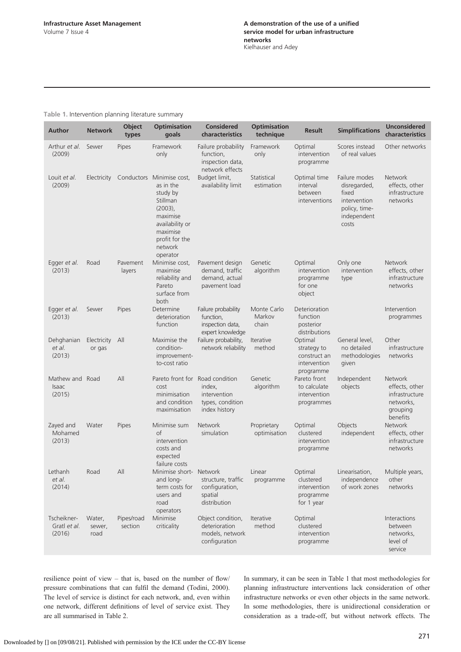# Table 1. Intervention planning literature summary

| <b>Author</b>                         | <b>Network</b>           | <b>Object</b><br>types | <b>Optimisation</b><br>goals                                                                                                                                     | <b>Considered</b><br>characteristics                                     | <b>Optimisation</b><br>technique | <b>Result</b>                                                       | <b>Simplifications</b>                                                                          | <b>Unconsidered</b><br>characteristics                                                  |
|---------------------------------------|--------------------------|------------------------|------------------------------------------------------------------------------------------------------------------------------------------------------------------|--------------------------------------------------------------------------|----------------------------------|---------------------------------------------------------------------|-------------------------------------------------------------------------------------------------|-----------------------------------------------------------------------------------------|
| Arthur et al.<br>(2009)               | Sewer                    | Pipes                  | Framework<br>only                                                                                                                                                | Failure probability<br>function,<br>inspection data,<br>network effects  | Framework<br>only                | Optimal<br>intervention<br>programme                                | Scores instead<br>of real values                                                                | Other networks                                                                          |
| Louit et al.<br>(2009)                | Electricity              |                        | Conductors Minimise cost,<br>as in the<br>study by<br>Stillman<br>$(2003)$ ,<br>maximise<br>availability or<br>maximise<br>profit for the<br>network<br>operator | Budget limit,<br>availability limit                                      | Statistical<br>estimation        | Optimal time<br>interval<br>between<br>interventions                | Failure modes<br>disregarded,<br>fixed<br>intervention<br>policy, time-<br>independent<br>costs | Network<br>effects, other<br>infrastructure<br>networks                                 |
| Egger et al.<br>(2013)                | Road                     | Pavement<br>layers     | Minimise cost,<br>maximise<br>reliability and<br>Pareto<br>surface from<br>both                                                                                  | Pavement design<br>demand, traffic<br>demand, actual<br>pavement load    | Genetic<br>algorithm             | Optimal<br>intervention<br>programme<br>for one<br>object           | Only one<br>intervention<br>type                                                                | <b>Network</b><br>effects, other<br>infrastructure<br>networks                          |
| Egger et al.<br>(2013)                | Sewer                    | <b>Pipes</b>           | Determine<br>deterioration<br>function                                                                                                                           | Failure probability<br>function,<br>inspection data,<br>expert knowledge | Monte Carlo<br>Markov<br>chain   | Deterioration<br>function<br>posterior<br>distributions             |                                                                                                 | Intervention<br>programmes                                                              |
| Dehghanian<br>et al.<br>(2013)        | Electricity<br>or gas    | All                    | Maximise the<br>condition-<br>improvement-<br>to-cost ratio                                                                                                      | Failure probability,<br>network reliability                              | Iterative<br>method              | Optimal<br>strategy to<br>construct an<br>intervention<br>programme | General level,<br>no detailed<br>methodologies<br>given                                         | Other<br>infrastructure<br>networks                                                     |
| Mathew and<br><b>Isaac</b><br>(2015)  | Road                     | All                    | Pareto front for Road condition<br>cost<br>minimisation<br>and condition<br>maximisation                                                                         | index,<br>intervention<br>types, condition<br>index history              | Genetic<br>algorithm             | Pareto front<br>to calculate<br>intervention<br>programmes          | Independent<br>objects                                                                          | <b>Network</b><br>effects, other<br>infrastructure<br>networks,<br>grouping<br>benefits |
| Zayed and<br>Mohamed<br>(2013)        | Water                    | Pipes                  | Minimise sum<br>of<br>intervention<br>costs and<br>expected<br>failure costs                                                                                     | <b>Network</b><br>simulation                                             | Proprietary<br>optimisation      | Optimal<br>clustered<br>intervention<br>programme                   | Objects<br>independent                                                                          | <b>Network</b><br>effects, other<br>infrastructure<br>networks                          |
| Lethanh<br>et al.<br>(2014)           | Road                     | All                    | Minimise short- Network<br>and long-<br>term costs for<br>users and<br>road<br>operators                                                                         | structure, traffic<br>configuration,<br>spatial<br>distribution          | Linear<br>programme              | Optimal<br>clustered<br>intervention<br>programme<br>for 1 year     | Linearisation,<br>independence<br>of work zones                                                 | Multiple years,<br>other<br>networks                                                    |
| Tscheikner-<br>Gratl et al.<br>(2016) | Water,<br>sewer,<br>road | Pipes/road<br>section  | Minimise<br>criticality                                                                                                                                          | Object condition,<br>deterioration<br>models, network<br>configuration   | Iterative<br>method              | Optimal<br>clustered<br>intervention<br>programme                   |                                                                                                 | Interactions<br>between<br>networks,<br>level of<br>service                             |

resilience point of view – that is, based on the number of flow/ pressure combinations that can fulfil the demand (Todini, 2000). The level of service is distinct for each network, and, even within one network, different definitions of level of service exist. They are all summarised in Table 2.

In summary, it can be seen in Table 1 that most methodologies for planning infrastructure interventions lack consideration of other infrastructure networks or even other objects in the same network. In some methodologies, there is unidirectional consideration or consideration as a trade-off, but without network effects. The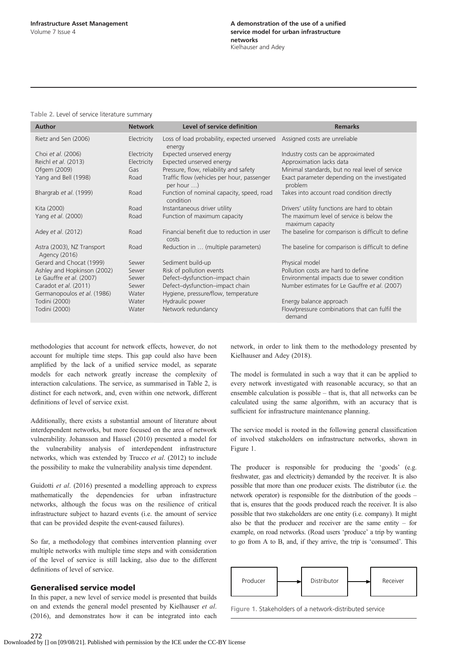### Table 2. Level of service literature summary

| Author                                      | <b>Network</b> | Level of service definition                                      | <b>Remarks</b>                                                |
|---------------------------------------------|----------------|------------------------------------------------------------------|---------------------------------------------------------------|
| Rietz and Sen (2006)                        | Electricity    | Loss of load probability, expected unserved<br>energy            | Assigned costs are unreliable                                 |
| Choi et al. (2006)                          | Electricity    | Expected unserved energy                                         | Industry costs can be approximated                            |
| Reichl et al. (2013)                        | Electricity    | Expected unserved energy                                         | Approximation lacks data                                      |
| Ofgem (2009)                                | Gas            | Pressure, flow, reliability and safety                           | Minimal standards, but no real level of service               |
| Yang and Bell (1998)                        | Road           | Traffic flow (vehicles per hour, passenger<br>per hour $\dots$ ) | Exact parameter depending on the investigated<br>problem      |
| Bhargrab et al. (1999)                      | Road           | Function of nominal capacity, speed, road<br>condition           | Takes into account road condition directly                    |
| Kita (2000)                                 | Road           | Instantaneous driver utility                                     | Drivers' utility functions are hard to obtain                 |
| Yang et al. (2000)                          | Road           | Function of maximum capacity                                     | The maximum level of service is below the<br>maximum capacity |
| Adey et al. (2012)                          | Road           | Financial benefit due to reduction in user<br>costs              | The baseline for comparison is difficult to define            |
| Astra (2003), NZ Transport<br>Agency (2016) | Road           | Reduction in  (multiple parameters)                              | The baseline for comparison is difficult to define            |
| Gerard and Chocat (1999)                    | Sewer          | Sediment build-up                                                | Physical model                                                |
| Ashley and Hopkinson (2002)                 | Sewer          | Risk of pollution events                                         | Pollution costs are hard to define                            |
| Le Gauffre et al. (2007)                    | Sewer          | Defect-dysfunction-impact chain                                  | Environmental impacts due to sewer condition                  |
| Caradot et al. (2011)                       | Sewer          | Defect-dysfunction-impact chain                                  | Number estimates for Le Gauffre et al. (2007)                 |
| Germanopoulos et al. (1986)                 | Water          | Hygiene, pressure/flow, temperature                              |                                                               |
| Todini (2000)                               | Water          | Hydraulic power                                                  | Energy balance approach                                       |
| Todini (2000)                               | Water          | Network redundancy                                               | Flow/pressure combinations that can fulfil the<br>demand      |

methodologies that account for network effects, however, do not account for multiple time steps. This gap could also have been amplified by the lack of a unified service model, as separate models for each network greatly increase the complexity of interaction calculations. The service, as summarised in Table 2, is distinct for each network, and, even within one network, different definitions of level of service exist.

Additionally, there exists a substantial amount of literature about interdependent networks, but more focused on the area of network vulnerability. Johansson and Hassel (2010) presented a model for the vulnerability analysis of interdependent infrastructure networks, which was extended by Trucco et al. (2012) to include the possibility to make the vulnerability analysis time dependent.

Guidotti et al. (2016) presented a modelling approach to express mathematically the dependencies for urban infrastructure networks, although the focus was on the resilience of critical infrastructure subject to hazard events (i.e. the amount of service that can be provided despite the event-caused failures).

So far, a methodology that combines intervention planning over multiple networks with multiple time steps and with consideration of the level of service is still lacking, also due to the different definitions of level of service.

# Generalised service model

In this paper, a new level of service model is presented that builds on and extends the general model presented by Kielhauser et al. (2016), and demonstrates how it can be integrated into each network, in order to link them to the methodology presented by Kielhauser and Adey (2018).

The model is formulated in such a way that it can be applied to every network investigated with reasonable accuracy, so that an ensemble calculation is possible – that is, that all networks can be calculated using the same algorithm, with an accuracy that is sufficient for infrastructure maintenance planning.

The service model is rooted in the following general classification of involved stakeholders on infrastructure networks, shown in Figure 1.

The producer is responsible for producing the 'goods' (e.g. freshwater, gas and electricity) demanded by the receiver. It is also possible that more than one producer exists. The distributor (i.e. the network operator) is responsible for the distribution of the goods – that is, ensures that the goods produced reach the receiver. It is also possible that two stakeholders are one entity (i.e. company). It might also be that the producer and receiver are the same entity – for example, on road networks. (Road users 'produce' a trip by wanting to go from A to B, and, if they arrive, the trip is 'consumed'. This



Figure 1. Stakeholders of a network-distributed service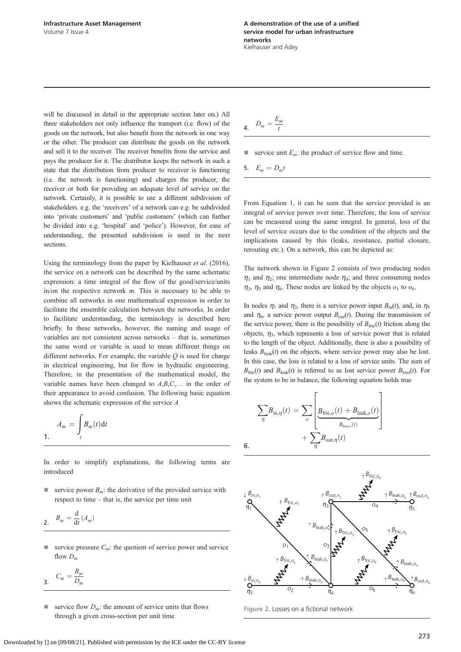will be discussed in detail in the appropriate section later on.) All three stakeholders not only influence the transport (i.e. flow) of the goods on the network, but also benefit from the network in one way or the other. The producer can distribute the goods on the network and sell it to the receiver. The receiver benefits from the service and pays the producer for it. The distributor keeps the network in such a state that the distribution from producer to receiver is functioning (i.e. the network is functioning) and charges the producer, the receiver or both for providing an adequate level of service on the network. Certainly, it is possible to use a different subdivision of stakeholders. e.g. the 'receivers' of a network can e.g. be subdivided into 'private customers' and 'public customers' (which can further be divided into e.g. 'hospital' and 'police'). However, for ease of understanding, the presented subdivision is used in the next sections.

Using the terminology from the paper by Kielhauser et al. (2016), the service on a network can be described by the same schematic expression: a time integral of the flow of the good/service/units in/on the respective network  $m$ . This is necessary to be able to combine all networks in one mathematical expression in order to facilitate the ensemble calculation between the networks. In order to facilitate understanding, the terminology is described here briefly. In these networks, however, the naming and usage of variables are not consistent across networks – that is, sometimes the same word or variable is used to mean different things on different networks. For example, the variable  $Q$  is used for charge in electrical engineering, but for flow in hydraulic engineering. Therefore, in the presentation of the mathematical model, the variable names have been changed to  $A,B,C,...$  in the order of their appearance to avoid confusion. The following basic equation shows the schematic expression of the service A

$$
A_m = \int_t B_m(t) \mathrm{d}t
$$

In order to simplify explanations, the following terms are introduced

- **E** service power  $B_m$ : the derivative of the provided service with respect to time – that is, the service per time unit
- 2.  $B_m = \frac{d}{dt}(A_m)$

1.

- service pressure  $C_m$ : the quotient of service power and service flow  $D_m$
- 3.  $C_m = \frac{B_m}{D_m}$
- service flow  $D_m$ : the amount of service units that flows through a given cross-section per unit time
- 4.  $D_m = \frac{E_m}{t}$
- service unit  $E_m$ : the product of service flow and time.
- 5.  $E_m = D_m t$

6.

From Equation 1, it can be seen that the service provided is an integral of service power over time. Therefore, the loss of service can be measured using the same integral. In general, loss of the level of service occurs due to the condition of the objects and the implications caused by this (leaks, resistance, partial closure, rerouting etc.). On a network, this can be depicted as:

The network shown in Figure 2 consists of two producing nodes  $\eta_1$  and  $\eta_2$ ; one intermediate node  $\eta_4$ ; and three consuming nodes  $\eta_3$ ,  $\eta_5$  and  $\eta_6$ . These nodes are linked by the objects  $o_1$  to  $o_6$ .

In nodes  $\eta_1$  and  $\eta_2$ , there is a service power input  $B_{\text{in}}(t)$ , and, in  $\eta_5$ and  $\eta_6$ , a service power output  $B_{\text{out}}(t)$ . During the transmission of the service power, there is the possibility of  $B_{\text{fric}}(t)$  friction along the objects,  $\eta_3$ , which represents a loss of service power that is related to the length of the object. Additionally, there is also a possibility of leaks  $B_{\text{leak}}(t)$  on the objects, where service power may also be lost. In this case, the loss is related to a loss of service units. The sum of  $B_{\text{fric}}(t)$  and  $B_{\text{leak}}(t)$  is referred to as lost service power  $B_{\text{loss}}(t)$ . For the system to be in balance, the following equation holds true

$$
\sum_{\eta} B_{\text{in},\eta}(t) = \sum_{o} \left[ \underbrace{B_{\text{fric},o}(t) + B_{\text{leak},o}(t)}_{B_{\text{loss},o}(t)} \right] + \sum_{\eta} B_{\text{out},\eta}(t)
$$



Figure 2. Losses on a fictional network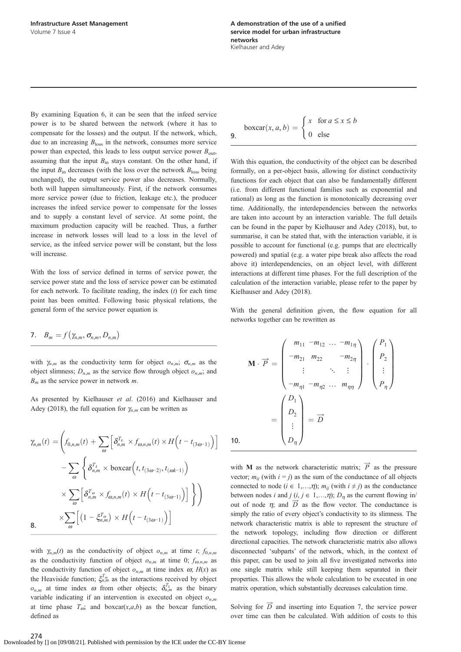By examining Equation 6, it can be seen that the infeed service power is to be shared between the network (where it has to compensate for the losses) and the output. If the network, which, due to an increasing  $B<sub>loss</sub>$  in the network, consumes more service power than expected, this leads to less output service power  $B_{\text{out}}$ , assuming that the input  $B_{\text{in}}$  stays constant. On the other hand, if the input  $B_{\text{in}}$  decreases (with the loss over the network  $B_{\text{loss}}$  being unchanged), the output service power also decreases. Normally, both will happen simultaneously. First, if the network consumes more service power (due to friction, leakage etc.), the producer increases the infeed service power to compensate for the losses and to supply a constant level of service. At some point, the maximum production capacity will be reached. Thus, a further increase in network losses will lead to a loss in the level of service, as the infeed service power will be constant, but the loss will increase.

With the loss of service defined in terms of service power, the service power state and the loss of service power can be estimated for each network. To facilitate reading, the index  $(t)$  for each time point has been omitted. Following basic physical relations, the general form of the service power equation is

7. 
$$
B_m = f(\gamma_{n,m}, \sigma_{n,m}, D_{n,m})
$$

with  $\gamma_{n,m}$  as the conductivity term for object  $o_{n,m}$ ;  $\sigma_{n,m}$  as the object slimness;  $D_{n,m}$  as the service flow through object  $o_{n,m}$ ; and  $B_m$  as the service power in network m.

As presented by Kielhauser et al. (2016) and Kielhauser and Adey (2018), the full equation for  $\gamma_{n,m}$  can be written as

$$
\gamma_{n,m}(t) = \left( f_{0,n,m}(t) + \sum_{\omega} \left[ \delta_{n,m}^{T_k} \times f_{\omega,n,m}(t) \times H\left(t - t_{(3\omega-1)}\right) \right] - \sum_{\omega} \left\{ \delta_{n,m}^{T_k} \times \text{boxcar}\left(t, t_{(3\omega-2)}, t_{(\omega k-1)}\right) \times \sum_{\omega} \left[ \delta_{n,m}^{T_{\omega}} \times f_{\omega,n,m}(t) \times H\left(t - t_{(3\omega-1)}\right) \right] \right\} \right)
$$
  
8.

with  $\gamma_{n,m}(t)$  as the conductivity of object  $o_{n,m}$  at time t;  $f_{0,n,m}$ as the conductivity function of object  $o_{n,m}$  at time 0;  $f_{\omega,n,m}$  as the conductivity function of object  $o_{n,m}$  at time index  $\omega$ ;  $H(x)$  as the Heaviside function;  $\xi_{n,m}^{T_{\omega}}$  as the interactions received by object  $o_{n,m}$  at time index  $\omega$  from other objects;  $\delta_{n,m}^{T_k}$  as the binary variable indicating if an intervention is executed on object  $o_{n,m}$ at time phase  $T_{\omega}$ ; and boxcar(x,a,b) as the boxcar function, defined as

$$
\text{boxcar}(x, a, b) = \begin{cases} x & \text{for } a \le x \le b \\ 0 & \text{else} \end{cases}
$$

With this equation, the conductivity of the object can be described formally, on a per-object basis, allowing for distinct conductivity functions for each object that can also be fundamentally different (i.e. from different functional families such as exponential and rational) as long as the function is monotonically decreasing over time. Additionally, the interdependencies between the networks are taken into account by an interaction variable. The full details can be found in the paper by Kielhauser and Adey (2018), but, to summarise, it can be stated that, with the interaction variable, it is possible to account for functional (e.g. pumps that are electrically powered) and spatial (e.g. a water pipe break also affects the road above it) interdependencies, on an object level, with different interactions at different time phases. For the full description of the calculation of the interaction variable, please refer to the paper by Kielhauser and Adey (2018).

With the general definition given, the flow equation for all networks together can be rewritten as

$$
\mathbf{M} \cdot \overrightarrow{P} = \begin{pmatrix} m_{11} & -m_{12} & \dots & -m_{1\eta} \\ -m_{21} & m_{22} & & -m_{2\eta} \\ \vdots & & \ddots & \vdots \\ -m_{\eta 1} & -m_{\eta 2} & \dots & m_{\eta \eta} \end{pmatrix} \cdot \begin{pmatrix} P_1 \\ P_2 \\ \vdots \\ P_\eta \end{pmatrix}
$$

$$
= \begin{pmatrix} D_1 \\ D_2 \\ \vdots \\ D_\eta \end{pmatrix} = \overrightarrow{D}
$$
10.

with M as the network characteristic matrix;  $\overrightarrow{P}$  as the pressure vector;  $m_{ij}$  (with  $i = j$ ) as the sum of the conductance of all objects connected to node ( $i \in 1,...,n$ );  $m_{ij}$  (with  $i \neq j$ ) as the conductance between nodes i and j  $(i, j \in 1, \ldots, \eta)$ ;  $D_n$  as the current flowing in/ out of node  $\eta$ ; and  $\overrightarrow{D}$  as the flow vector. The conductance is simply the ratio of every object's conductivity to its slimness. The network characteristic matrix is able to represent the structure of the network topology, including flow direction or different directional capacities. The network characteristic matrix also allows disconnected 'subparts' of the network, which, in the context of this paper, can be used to join all five investigated networks into one single matrix while still keeping them separated in their properties. This allows the whole calculation to be executed in one matrix operation, which substantially decreases calculation time.

Solving for  $\overrightarrow{D}$  and inserting into Equation 7, the service power over time can then be calculated. With addition of costs to this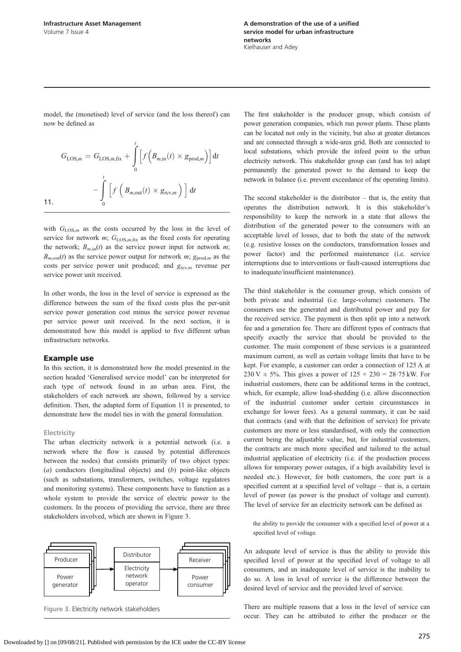model, the (monetised) level of service (and the loss thereof) can now be defined as

$$
G_{\text{LOS},m} = G_{\text{LOS},m,\text{fix}} + \int_{0}^{t} \left[ f\left(B_{m,\text{in}}(t) \times g_{\text{prod},m}\right) \right] dt
$$

$$
- \int_{0}^{t} \left[ f\left(B_{m,\text{out}}(t) \times g_{\text{rev},m}\right) \right] dt
$$
11.

with  $G_{\text{LOS},m}$  as the costs occurred by the loss in the level of service for network  $m$ ;  $G_{\text{LOS},m,\text{fix}}$  as the fixed costs for operating the network;  $B_{m,in}(t)$  as the service power input for network m;  $B_{m,\text{out}}(t)$  as the service power output for network m;  $g_{\text{prod},m}$  as the costs per service power unit produced; and  $g_{\text{rcv},m}$  revenue per service power unit received.

In other words, the loss in the level of service is expressed as the difference between the sum of the fixed costs plus the per-unit service power generation cost minus the service power revenue per service power unit received. In the next section, it is demonstrated how this model is applied to five different urban infrastructure networks.

# Example use

In this section, it is demonstrated how the model presented in the section headed 'Generalised service model' can be interpreted for each type of network found in an urban area. First, the stakeholders of each network are shown, followed by a service definition. Then, the adapted form of Equation 11 is presented, to demonstrate how the model ties in with the general formulation.

### **Electricity**

The urban electricity network is a potential network (i.e. a network where the flow is caused by potential differences between the nodes) that consists primarily of two object types: (a) conductors (longitudinal objects) and (b) point-like objects (such as substations, transformers, switches, voltage regulators and monitoring systems). These components have to function as a whole system to provide the service of electric power to the customers. In the process of providing the service, there are three stakeholders involved, which are shown in Figure 3.



Figure 3. Electricity network stakeholders

The first stakeholder is the producer group, which consists of power generation companies, which run power plants. These plants can be located not only in the vicinity, but also at greater distances and are connected through a wide-area grid. Both are connected to local substations, which provide the infeed point to the urban electricity network. This stakeholder group can (and has to) adapt permanently the generated power to the demand to keep the network in balance (i.e. prevent exceedance of the operating limits).

The second stakeholder is the distributor – that is, the entity that operates the distribution network. It is this stakeholder's responsibility to keep the network in a state that allows the distribution of the generated power to the consumers with an acceptable level of losses, due to both the state of the network (e.g. resistive losses on the conductors, transformation losses and power factor) and the performed maintenance (i.e. service interruptions due to interventions or fault-caused interruptions due to inadequate/insufficient maintenance).

The third stakeholder is the consumer group, which consists of both private and industrial (i.e. large-volume) customers. The consumers use the generated and distributed power and pay for the received service. The payment is then split up into a network fee and a generation fee. There are different types of contracts that specify exactly the service that should be provided to the customer. The main component of these services is a guaranteed maximum current, as well as certain voltage limits that have to be kept. For example, a customer can order a connection of 125 A at 230 V  $\pm$  5%. This gives a power of 125  $\times$  230 = 28 $\cdot$ 75 kW. For industrial customers, there can be additional terms in the contract, which, for example, allow load-shedding (i.e. allow disconnection of the industrial customer under certain circumstances in exchange for lower fees). As a general summary, it can be said that contracts (and with that the definition of service) for private customers are more or less standardised, with only the connection current being the adjustable value, but, for industrial customers, the contracts are much more specified and tailored to the actual industrial application of electricity (i.e. if the production process allows for temporary power outages, if a high availability level is needed etc.). However, for both customers, the core part is a specified current at a specified level of voltage – that is, a certain level of power (as power is the product of voltage and current). The level of service for an electricity network can be defined as

the ability to provide the consumer with a specified level of power at a specified level of voltage.

An adequate level of service is thus the ability to provide this specified level of power at the specified level of voltage to all consumers, and an inadequate level of service is the inability to do so. A loss in level of service is the difference between the desired level of service and the provided level of service.

There are multiple reasons that a loss in the level of service can occur. They can be attributed to either the producer or the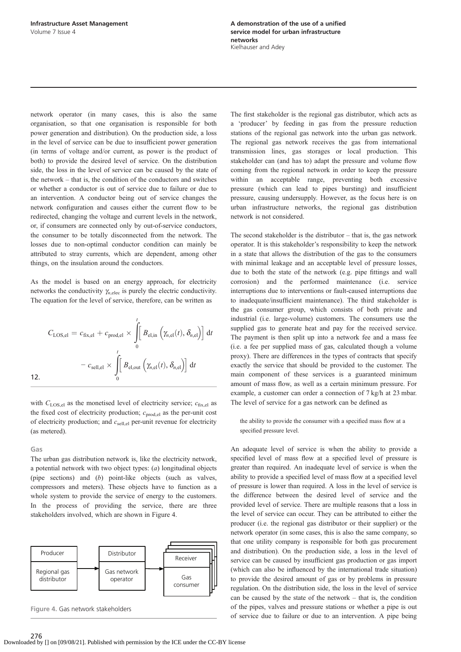network operator (in many cases, this is also the same organisation, so that one organisation is responsible for both power generation and distribution). On the production side, a loss in the level of service can be due to insufficient power generation (in terms of voltage and/or current, as power is the product of both) to provide the desired level of service. On the distribution side, the loss in the level of service can be caused by the state of the network – that is, the condition of the conductors and switches or whether a conductor is out of service due to failure or due to an intervention. A conductor being out of service changes the network configuration and causes either the current flow to be redirected, changing the voltage and current levels in the network, or, if consumers are connected only by out-of-service conductors, the consumer to be totally disconnected from the network. The losses due to non-optimal conductor condition can mainly be attributed to stray currents, which are dependent, among other things, on the insulation around the conductors.

As the model is based on an energy approach, for electricity networks the conductivity  $\gamma_{n,\text{elec}}$  is purely the electric conductivity. The equation for the level of service, therefore, can be written as

$$
C_{\text{LOS,el}} = c_{\text{fix,el}} + c_{\text{prod,el}} \times \int_{0}^{t} \left[ B_{\text{el,in}} \left( \gamma_{n,\text{el}}(t), \delta_{n,\text{el}} \right) \right] dt
$$

$$
- c_{\text{sell,el}} \times \int_{0}^{t} \left[ B_{\text{el,out}} \left( \gamma_{n,\text{el}}(t), \delta_{n,\text{el}} \right) \right] dt
$$
12.

with  $C_{\text{LOS,el}}$  as the monetised level of electricity service;  $c_{\text{fix,el}}$  as the fixed cost of electricity production;  $c_{\text{prod,el}}$  as the per-unit cost of electricity production; and  $c_{\text{sell,el}}$  per-unit revenue for electricity (as metered).

Gas

The urban gas distribution network is, like the electricity network, a potential network with two object types: (a) longitudinal objects (pipe sections) and (b) point-like objects (such as valves, compressors and meters). These objects have to function as a whole system to provide the service of energy to the customers. In the process of providing the service, there are three stakeholders involved, which are shown in Figure 4.



Figure 4. Gas network stakeholders

The first stakeholder is the regional gas distributor, which acts as a 'producer' by feeding in gas from the pressure reduction stations of the regional gas network into the urban gas network. The regional gas network receives the gas from international transmission lines, gas storages or local production. This stakeholder can (and has to) adapt the pressure and volume flow coming from the regional network in order to keep the pressure within an acceptable range, preventing both excessive pressure (which can lead to pipes bursting) and insufficient pressure, causing undersupply. However, as the focus here is on urban infrastructure networks, the regional gas distribution network is not considered.

The second stakeholder is the distributor – that is, the gas network operator. It is this stakeholder's responsibility to keep the network in a state that allows the distribution of the gas to the consumers with minimal leakage and an acceptable level of pressure losses, due to both the state of the network (e.g. pipe fittings and wall corrosion) and the performed maintenance (i.e. service interruptions due to interventions or fault-caused interruptions due to inadequate/insufficient maintenance). The third stakeholder is the gas consumer group, which consists of both private and industrial (i.e. large-volume) customers. The consumers use the supplied gas to generate heat and pay for the received service. The payment is then split up into a network fee and a mass fee (i.e. a fee per supplied mass of gas, calculated though a volume proxy). There are differences in the types of contracts that specify exactly the service that should be provided to the customer. The main component of these services is a guaranteed minimum amount of mass flow, as well as a certain minimum pressure. For example, a customer can order a connection of 7 kg/h at 23 mbar. The level of service for a gas network can be defined as

the ability to provide the consumer with a specified mass flow at a specified pressure level.

An adequate level of service is when the ability to provide a specified level of mass flow at a specified level of pressure is greater than required. An inadequate level of service is when the ability to provide a specified level of mass flow at a specified level of pressure is lower than required. A loss in the level of service is the difference between the desired level of service and the provided level of service. There are multiple reasons that a loss in the level of service can occur. They can be attributed to either the producer (i.e. the regional gas distributor or their supplier) or the network operator (in some cases, this is also the same company, so that one utility company is responsible for both gas procurement and distribution). On the production side, a loss in the level of service can be caused by insufficient gas production or gas import (which can also be influenced by the international trade situation) to provide the desired amount of gas or by problems in pressure regulation. On the distribution side, the loss in the level of service can be caused by the state of the network – that is, the condition of the pipes, valves and pressure stations or whether a pipe is out of service due to failure or due to an intervention. A pipe being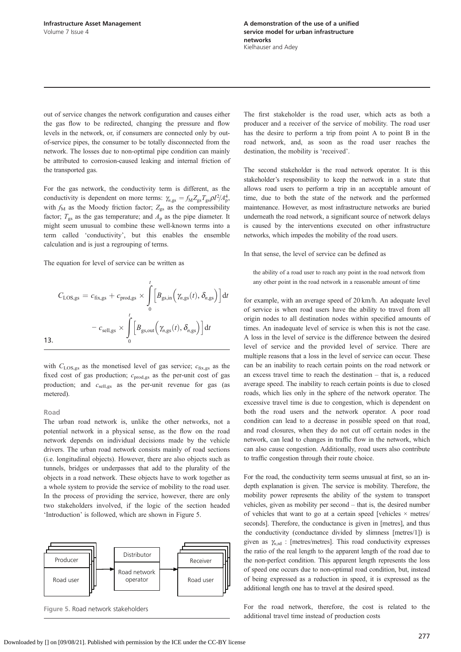out of service changes the network configuration and causes either the gas flow to be redirected, changing the pressure and flow levels in the network, or, if consumers are connected only by outof-service pipes, the consumer to be totally disconnected from the network. The losses due to non-optimal pipe condition can mainly be attributed to corrosion-caused leaking and internal friction of the transported gas.

For the gas network, the conductivity term is different, as the conductivity is dependent on more terms:  $\gamma_{n,gs} = f_M Z_{gs} T_{gs} \rho I^2 / A_p^4$ , with  $f_M$  as the Moody friction factor;  $Z_{gs}$  as the compressibility factor;  $T_{gs}$  as the gas temperature; and  $A_p$  as the pipe diameter. It might seem unusual to combine these well-known terms into a term called 'conductivity', but this enables the ensemble calculation and is just a regrouping of terms.

The equation for level of service can be written as

$$
C_{\text{LOS,gs}} = c_{\text{fix,gs}} + c_{\text{prod,gs}} \times \int_{0}^{t} \left[ B_{\text{gs,in}} \left( \gamma_{n,\text{gs}}(t), \delta_{n,\text{gs}} \right) \right] dt
$$

$$
- c_{\text{sell,gs}} \times \int_{0}^{t} \left[ B_{\text{gs,out}} \left( \gamma_{n,\text{gs}}(t), \delta_{n,\text{gs}} \right) \right] dt
$$
13.

with  $C_{\text{LOS,gs}}$  as the monetised level of gas service;  $c_{\text{fix,gs}}$  as the fixed cost of gas production;  $c_{\text{prod,gs}}$  as the per-unit cost of gas production; and  $c_{\text{sell,gs}}$  as the per-unit revenue for gas (as metered).

## Road

The urban road network is, unlike the other networks, not a potential network in a physical sense, as the flow on the road network depends on individual decisions made by the vehicle drivers. The urban road network consists mainly of road sections (i.e. longitudinal objects). However, there are also objects such as tunnels, bridges or underpasses that add to the plurality of the objects in a road network. These objects have to work together as a whole system to provide the service of mobility to the road user. In the process of providing the service, however, there are only two stakeholders involved, if the logic of the section headed 'Introduction' is followed, which are shown in Figure 5.



Figure 5. Road network stakeholders

The first stakeholder is the road user, which acts as both a producer and a receiver of the service of mobility. The road user has the desire to perform a trip from point A to point B in the road network, and, as soon as the road user reaches the destination, the mobility is 'received'.

The second stakeholder is the road network operator. It is this stakeholder's responsibility to keep the network in a state that allows road users to perform a trip in an acceptable amount of time, due to both the state of the network and the performed maintenance. However, as most infrastructure networks are buried underneath the road network, a significant source of network delays is caused by the interventions executed on other infrastructure networks, which impedes the mobility of the road users.

In that sense, the level of service can be defined as

the ability of a road user to reach any point in the road network from any other point in the road network in a reasonable amount of time

for example, with an average speed of 20 km/h. An adequate level of service is when road users have the ability to travel from all origin nodes to all destination nodes within specified amounts of times. An inadequate level of service is when this is not the case. A loss in the level of service is the difference between the desired level of service and the provided level of service. There are multiple reasons that a loss in the level of service can occur. These can be an inability to reach certain points on the road network or an excess travel time to reach the destination – that is, a reduced average speed. The inability to reach certain points is due to closed roads, which lies only in the sphere of the network operator. The excessive travel time is due to congestion, which is dependent on both the road users and the network operator. A poor road condition can lead to a decrease in possible speed on that road, and road closures, when they do not cut off certain nodes in the network, can lead to changes in traffic flow in the network, which can also cause congestion. Additionally, road users also contribute to traffic congestion through their route choice.

For the road, the conductivity term seems unusual at first, so an indepth explanation is given. The service is mobility. Therefore, the mobility power represents the ability of the system to transport vehicles, given as mobility per second – that is, the desired number of vehicles that want to go at a certain speed [vehicles  $\times$  metres/ seconds]. Therefore, the conductance is given in [metres], and thus the conductivity (conductance divided by slimness [metres/1]) is given as  $\gamma_{n,\text{rd}}$  : [metres/metres]. This road conductivity expresses the ratio of the real length to the apparent length of the road due to the non-perfect condition. This apparent length represents the loss of speed one occurs due to non-optimal road condition, but, instead of being expressed as a reduction in speed, it is expressed as the additional length one has to travel at the desired speed.

For the road network, therefore, the cost is related to the additional travel time instead of production costs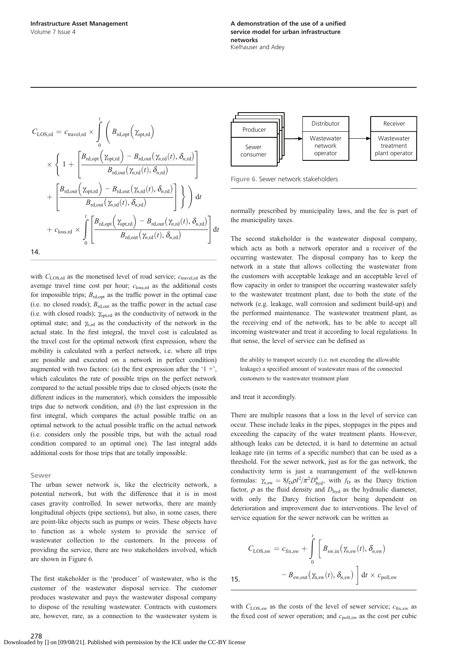$$
C_{\text{LOS,rd}} = c_{\text{travel,rd}} \times \int_{0}^{t} \left( B_{\text{rd,opt}} \left( \gamma_{\text{opt,rd}} \right) \times \left\{ 1 + \left[ \frac{B_{\text{rd,opt}} \left( \gamma_{\text{opt,rd}} \right) - B_{\text{rd,out}} \left( \gamma_{n,\text{rd}}(t), \delta_{n,\text{rd}} \right)}{B_{\text{rd,out}} \left( \gamma_{n,\text{rd}}(t), \delta_{n,\text{rd}} \right)} \right] + \left[ \frac{B_{\text{rd,out}} \left( \gamma_{\text{opt,rd}} \right) - B_{\text{rd,out}} \left( \gamma_{n,\text{rd}}(t), \delta_{n,\text{rd}} \right)}{B_{\text{rd,out}} \left( \gamma_{n,\text{rd}}(t), \delta_{n,\text{rd}} \right)} \right] \right\} dt + c_{\text{loss,rd}} \times \int_{0}^{t} \left[ \frac{B_{\text{rd,opt}} \left( \gamma_{\text{opt,rd}} \right) - B_{\text{rd,out}} \left( \gamma_{n,\text{rd}}(t), \delta_{n,\text{rd}} \right)}{B_{\text{rd,out}} \left( \gamma_{n,\text{rd}}(t), \delta_{n,\text{rd}} \right)} \right] dt
$$
  
14.

with  $C_{\text{LOS,rd}}$  as the monetised level of road service;  $c_{\text{travel,rd}}$  as the average travel time cost per hour;  $c_{\text{loss,rd}}$  as the additional costs for impossible trips;  $B_{\text{rd,out}}$  as the traffic power in the optimal case (i.e. no closed roads);  $B_{\text{rd,out}}$  as the traffic power in the actual case (i.e. with closed roads);  $\gamma_{\text{opt,rd}}$  as the conductivity of network in the optimal state; and  $\gamma_{n,\text{rd}}$  as the conductivity of the network in the actual state. In the first integral, the travel cost is calculated as the travel cost for the optimal network (first expression, where the mobility is calculated with a perfect network, i.e. where all trips are possible and executed on a network in perfect condition) augmented with two factors: (*a*) the first expression after the '1+', which calculates the rate of possible trips on the perfect network compared to the actual possible trips due to closed objects (note the different indices in the numerator), which considers the impossible trips due to network condition, and  $(b)$  the last expression in the first integral, which compares the actual possible traffic on an optimal network to the actual possible traffic on the actual network (i.e. considers only the possible trips, but with the actual road condition compared to an optimal one). The last integral adds additional costs for those trips that are totally impossible.

### Sewer

The urban sewer network is, like the electricity network, a potential network, but with the difference that it is in most cases gravity controlled. In sewer networks, there are mainly longitudinal objects (pipe sections), but also, in some cases, there are point-like objects such as pumps or weirs. These objects have to function as a whole system to provide the service of wastewater collection to the customers. In the process of providing the service, there are two stakeholders involved, which are shown in Figure 6.

The first stakeholder is the 'producer' of wastewater, who is the customer of the wastewater disposal service. The customer produces wastewater and pays the wastewater disposal company to dispose of the resulting wastewater. Contracts with customers are, however, rare, as a connection to the wastewater system is



Figure 6. Sewer network stakeholders

normally prescribed by municipality laws, and the fee is part of the municipality taxes.

The second stakeholder is the wastewater disposal company, which acts as both a network operator and a receiver of the occurring wastewater. The disposal company has to keep the network in a state that allows collecting the wastewater from the customers with acceptable leakage and an acceptable level of flow capacity in order to transport the occurring wastewater safely to the wastewater treatment plant, due to both the state of the network (e.g. leakage, wall corrosion and sediment build-up) and the performed maintenance. The wastewater treatment plant, as the receiving end of the network, has to be able to accept all incoming wastewater and treat it according to local regulations. In that sense, the level of service can be defined as

the ability to transport securely (i.e. not exceeding the allowable leakage) a specified amount of wastewater mass of the connected customers to the wastewater treatment plant

and treat it accordingly.

There are multiple reasons that a loss in the level of service can occur. These include leaks in the pipes, stoppages in the pipes and exceeding the capacity of the water treatment plants. However, although leaks can be detected, it is hard to determine an actual leakage rate (in terms of a specific number) that can be used as a threshold. For the sewer network, just as for the gas network, the conductivity term is just a rearrangement of the well-known formulas:  $\gamma_{n,sw} = 8f_D \rho I^2 / \pi^2 D_{\text{hyd}}^4$ , with  $f_D$  as the Darcy friction factor,  $\rho$  as the fluid density and  $D_{\text{hvd}}$  as the hydraulic diameter, with only the Darcy friction factor being dependent on deterioration and improvement due to interventions. The level of service equation for the sewer network can be written as

$$
C_{\text{LOS,sw}} = c_{\text{fix,sw}} + \int_{0}^{t} \left[ B_{\text{sw,in}}(\gamma_{n,\text{sw}}(t), \delta_{n,\text{sw}}) - B_{\text{sw,out}}(\gamma_{n,\text{sw}}(t), \delta_{n,\text{sw}}) \right] dt \times c_{\text{poll,sw}}
$$

with  $C_{\text{LOS,sw}}$  as the costs of the level of sewer service;  $c_{\text{fix,sw}}$  as the fixed cost of sewer operation; and  $c_{\text{poll,sw}}$  as the cost per cubic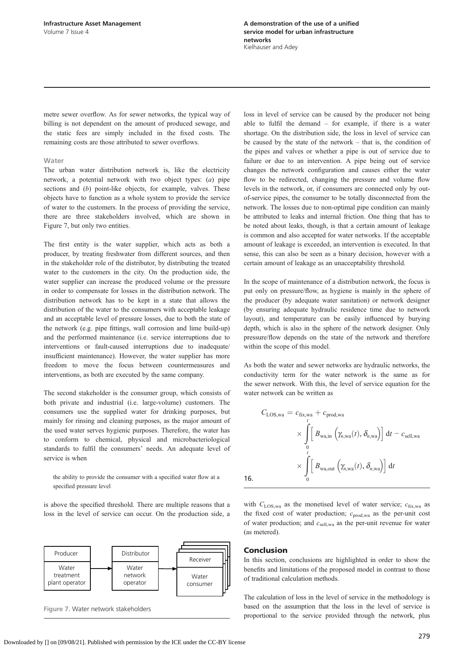metre sewer overflow. As for sewer networks, the typical way of billing is not dependent on the amount of produced sewage, and the static fees are simply included in the fixed costs. The remaining costs are those attributed to sewer overflows.

# Water

The urban water distribution network is, like the electricity network, a potential network with two object types: (a) pipe sections and (b) point-like objects, for example, valves. These objects have to function as a whole system to provide the service of water to the customers. In the process of providing the service, there are three stakeholders involved, which are shown in Figure 7, but only two entities.

The first entity is the water supplier, which acts as both a producer, by treating freshwater from different sources, and then in the stakeholder role of the distributor, by distributing the treated water to the customers in the city. On the production side, the water supplier can increase the produced volume or the pressure in order to compensate for losses in the distribution network. The distribution network has to be kept in a state that allows the distribution of the water to the consumers with acceptable leakage and an acceptable level of pressure losses, due to both the state of the network (e.g. pipe fittings, wall corrosion and lime build-up) and the performed maintenance (i.e. service interruptions due to interventions or fault-caused interruptions due to inadequate/ insufficient maintenance). However, the water supplier has more freedom to move the focus between countermeasures and interventions, as both are executed by the same company.

The second stakeholder is the consumer group, which consists of both private and industrial (i.e. large-volume) customers. The consumers use the supplied water for drinking purposes, but mainly for rinsing and cleaning purposes, as the major amount of the used water serves hygienic purposes. Therefore, the water has to conform to chemical, physical and microbacteriological standards to fulfil the consumers' needs. An adequate level of service is when

the ability to provide the consumer with a specified water flow at a specified pressure level

is above the specified threshold. There are multiple reasons that a loss in the level of service can occur. On the production side, a



Figure 7. Water network stakeholders

loss in level of service can be caused by the producer not being able to fulfil the demand – for example, if there is a water shortage. On the distribution side, the loss in level of service can be caused by the state of the network – that is, the condition of the pipes and valves or whether a pipe is out of service due to failure or due to an intervention. A pipe being out of service changes the network configuration and causes either the water flow to be redirected, changing the pressure and volume flow levels in the network, or, if consumers are connected only by outof-service pipes, the consumer to be totally disconnected from the network. The losses due to non-optimal pipe condition can mainly be attributed to leaks and internal friction. One thing that has to be noted about leaks, though, is that a certain amount of leakage is common and also accepted for water networks. If the acceptable amount of leakage is exceeded, an intervention is executed. In that sense, this can also be seen as a binary decision, however with a certain amount of leakage as an unacceptability threshold.

In the scope of maintenance of a distribution network, the focus is put only on pressure/flow, as hygiene is mainly in the sphere of the producer (by adequate water sanitation) or network designer (by ensuring adequate hydraulic residence time due to network layout), and temperature can be easily influenced by burying depth, which is also in the sphere of the network designer. Only pressure/flow depends on the state of the network and therefore within the scope of this model.

As both the water and sewer networks are hydraulic networks, the conductivity term for the water network is the same as for the sewer network. With this, the level of service equation for the water network can be written as

$$
C_{\text{LOS,wa}} = c_{\text{fix,wa}} + c_{\text{prod,wa}} \times \int_{0}^{t} \left[ B_{\text{wa,in}} \left( \gamma_{n,\text{wa}}(t), \delta_{n,\text{wa}} \right) \right] dt - c_{\text{sell,wa}} \times \int_{0}^{t} \left[ B_{\text{wa,out}} \left( \gamma_{n,\text{wa}}(t), \delta_{n,\text{wa}} \right) \right] dt
$$

16.

with  $C_{\text{LOS,wa}}$  as the monetised level of water service;  $c_{\text{fix,wa}}$  as the fixed cost of water production;  $c_{\text{prod,wa}}$  as the per-unit cost of water production; and  $c_{\text{sell,wa}}$  as the per-unit revenue for water (as metered).

### Conclusion

In this section, conclusions are highlighted in order to show the benefits and limitations of the proposed model in contrast to those of traditional calculation methods.

The calculation of loss in the level of service in the methodology is based on the assumption that the loss in the level of service is proportional to the service provided through the network, plus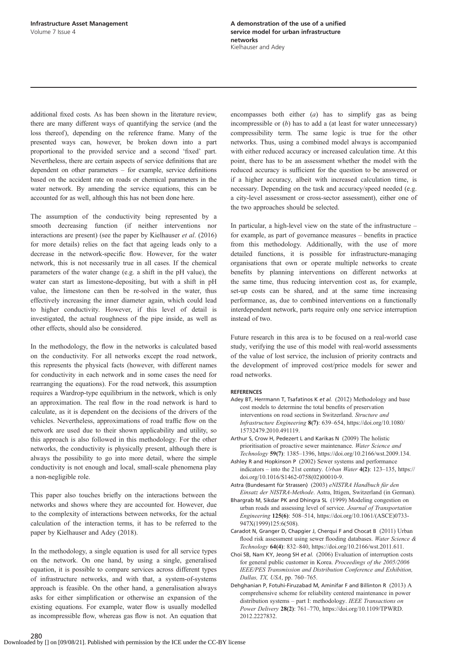additional fixed costs. As has been shown in the literature review, there are many different ways of quantifying the service (and the loss thereof), depending on the reference frame. Many of the presented ways can, however, be broken down into a part proportional to the provided service and a second 'fixed' part. Nevertheless, there are certain aspects of service definitions that are dependent on other parameters – for example, service definitions based on the accident rate on roads or chemical parameters in the water network. By amending the service equations, this can be accounted for as well, although this has not been done here.

The assumption of the conductivity being represented by a smooth decreasing function (if neither interventions nor interactions are present) (see the paper by Kielhauser et al. (2016) for more details) relies on the fact that ageing leads only to a decrease in the network-specific flow. However, for the water network, this is not necessarily true in all cases. If the chemical parameters of the water change (e.g. a shift in the pH value), the water can start as limestone-depositing, but with a shift in pH value, the limestone can then be re-solved in the water, thus effectively increasing the inner diameter again, which could lead to higher conductivity. However, if this level of detail is investigated, the actual roughness of the pipe inside, as well as other effects, should also be considered.

In the methodology, the flow in the networks is calculated based on the conductivity. For all networks except the road network, this represents the physical facts (however, with different names for conductivity in each network and in some cases the need for rearranging the equations). For the road network, this assumption requires a Wardrop-type equilibrium in the network, which is only an approximation. The real flow in the road network is hard to calculate, as it is dependent on the decisions of the drivers of the vehicles. Nevertheless, approximations of road traffic flow on the network are used due to their shown applicability and utility, so this approach is also followed in this methodology. For the other networks, the conductivity is physically present, although there is always the possibility to go into more detail, where the simple conductivity is not enough and local, small-scale phenomena play a non-negligible role.

This paper also touches briefly on the interactions between the networks and shows where they are accounted for. However, due to the complexity of interactions between networks, for the actual calculation of the interaction terms, it has to be referred to the paper by Kielhauser and Adey (2018).

In the methodology, a single equation is used for all service types on the network. On one hand, by using a single, generalised equation, it is possible to compare services across different types of infrastructure networks, and with that, a system-of-systems approach is feasible. On the other hand, a generalisation always asks for either simplification or otherwise an expansion of the existing equations. For example, water flow is usually modelled as incompressible flow, whereas gas flow is not. An equation that encompasses both either  $(a)$  has to simplify gas as being incompressible or  $(b)$  has to add a (at least for water unnecessary) compressibility term. The same logic is true for the other networks. Thus, using a combined model always is accompanied with either reduced accuracy or increased calculation time. At this point, there has to be an assessment whether the model with the reduced accuracy is sufficient for the question to be answered or if a higher accuracy, albeit with increased calculation time, is necessary. Depending on the task and accuracy/speed needed (e.g. a city-level assessment or cross-sector assessment), either one of the two approaches should be selected.

In particular, a high-level view on the state of the infrastructure – for example, as part of governance measures – benefits in practice from this methodology. Additionally, with the use of more detailed functions, it is possible for infrastructure-managing organisations that own or operate multiple networks to create benefits by planning interventions on different networks at the same time, thus reducing intervention cost as, for example, set-up costs can be shared, and at the same time increasing performance, as, due to combined interventions on a functionally interdependent network, parts require only one service interruption instead of two.

Future research in this area is to be focused on a real-world case study, verifying the use of this model with real-world assessments of the value of lost service, the inclusion of priority contracts and the development of improved cost/price models for sewer and road networks.

## **REFERENCES**

- Adey BT, Herrmann T, Tsafatinos K et al. (2012) Methodology and base cost models to determine the total benefits of preservation interventions on road sections in Switzerland. Structure and Infrastructure Engineering 8(7): 639–654, [https://doi.org/10.1080/](https://doi.org/10.1080/15732479.2010.491119) [15732479.2010.491119.](https://doi.org/10.1080/15732479.2010.491119)
- Arthur S, Crow H, Pedezert L and Karikas N (2009) The holistic prioritisation of proactive sewer maintenance. Water Science and Technology 59(7): 1385–1396, [https://doi.org/10.2166/wst.2009.134.](https://doi.org/10.2166/wst.2009.134)
- Ashley R and Hopkinson P (2002) Sewer systems and performance indicators – into the 21st century. Urban Water 4(2): 123–135, [https://](https://doi.org/10.1016/S1462-0758(02)00010-9) [doi.org/10.1016/S1462-0758\(02\)00010-9.](https://doi.org/10.1016/S1462-0758(02)00010-9)
- Astra (Bundesamt für Strassen) (2003) eNISTRA Handbuch für den Einsatz der NISTRA-Methode. Astra, Ittigen, Switzerland (in German).
- Bhargrab M, Sikdar PK and Dhingra SL (1999) Modeling congestion on urban roads and assessing level of service. Journal of Transportation Engineering 125(6): 508–514, [https://doi.org/10.1061/\(ASCE\)0733-](https://doi.org/10.1061/(ASCE)0733-947X(1999)125:6(508)) [947X\(1999\)125:6\(508\).](https://doi.org/10.1061/(ASCE)0733-947X(1999)125:6(508))
- Caradot N, Granger D, Chapgier J, Cherqui F and Chocat B (2011) Urban flood risk assessment using sewer flooding databases. Water Science & Technology 64(4): 832–840, [https://doi.org/10.2166/wst.2011.611.](https://doi.org/10.2166/wst.2011.611)
- Choi SB, Nam KY, Jeong SH et al. (2006) Evaluation of interruption costs for general public customer in Korea. Proceedings of the 2005/2006 IEEE/PES Transmission and Distribution Conference and Exhibition, Dallas, TX, USA, pp. 760–765.
- Dehghanian P, Fotuhi-Firuzabad M, Aminifar F and Billinton R (2013) A comprehensive scheme for reliability centered maintenance in power distribution systems - part I: methodology. IEEE Transactions on Power Delivery 28(2): 761–770, [https://doi.org/10.1109/TPWRD.](https://doi.org/10.1109/TPWRD.2012.2227832) [2012.2227832.](https://doi.org/10.1109/TPWRD.2012.2227832)